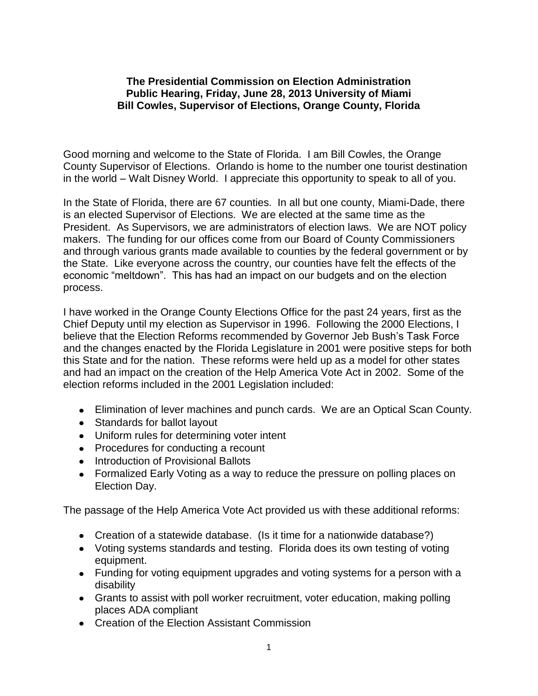## **The Presidential Commission on Election Administration Public Hearing, Friday, June 28, 2013 University of Miami Bill Cowles, Supervisor of Elections, Orange County, Florida**

Good morning and welcome to the State of Florida. I am Bill Cowles, the Orange County Supervisor of Elections. Orlando is home to the number one tourist destination in the world – Walt Disney World. I appreciate this opportunity to speak to all of you.

In the State of Florida, there are 67 counties. In all but one county, Miami-Dade, there is an elected Supervisor of Elections. We are elected at the same time as the President. As Supervisors, we are administrators of election laws. We are NOT policy makers. The funding for our offices come from our Board of County Commissioners and through various grants made available to counties by the federal government or by the State. Like everyone across the country, our counties have felt the effects of the economic "meltdown". This has had an impact on our budgets and on the election process.

I have worked in the Orange County Elections Office for the past 24 years, first as the Chief Deputy until my election as Supervisor in 1996. Following the 2000 Elections, I believe that the Election Reforms recommended by Governor Jeb Bush's Task Force and the changes enacted by the Florida Legislature in 2001 were positive steps for both this State and for the nation. These reforms were held up as a model for other states and had an impact on the creation of the Help America Vote Act in 2002. Some of the election reforms included in the 2001 Legislation included:

- Elimination of lever machines and punch cards. We are an Optical Scan County.
- Standards for ballot layout
- Uniform rules for determining voter intent
- Procedures for conducting a recount
- Introduction of Provisional Ballots
- Formalized Early Voting as a way to reduce the pressure on polling places on Election Day.

The passage of the Help America Vote Act provided us with these additional reforms:

- Creation of a statewide database. (Is it time for a nationwide database?)
- Voting systems standards and testing. Florida does its own testing of voting equipment.
- Funding for voting equipment upgrades and voting systems for a person with a disability
- Grants to assist with poll worker recruitment, voter education, making polling places ADA compliant
- Creation of the Election Assistant Commission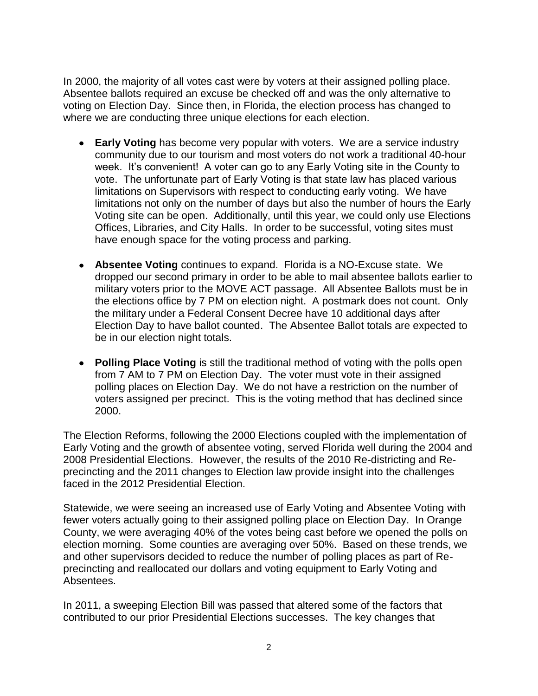In 2000, the majority of all votes cast were by voters at their assigned polling place. Absentee ballots required an excuse be checked off and was the only alternative to voting on Election Day. Since then, in Florida, the election process has changed to where we are conducting three unique elections for each election.

- **Early Voting** has become very popular with voters. We are a service industry community due to our tourism and most voters do not work a traditional 40-hour week. It's convenient! A voter can go to any Early Voting site in the County to vote. The unfortunate part of Early Voting is that state law has placed various limitations on Supervisors with respect to conducting early voting. We have limitations not only on the number of days but also the number of hours the Early Voting site can be open. Additionally, until this year, we could only use Elections Offices, Libraries, and City Halls. In order to be successful, voting sites must have enough space for the voting process and parking.
- **Absentee Voting** continues to expand. Florida is a NO-Excuse state. We dropped our second primary in order to be able to mail absentee ballots earlier to military voters prior to the MOVE ACT passage. All Absentee Ballots must be in the elections office by 7 PM on election night. A postmark does not count. Only the military under a Federal Consent Decree have 10 additional days after Election Day to have ballot counted. The Absentee Ballot totals are expected to be in our election night totals.
- **Polling Place Voting** is still the traditional method of voting with the polls open from 7 AM to 7 PM on Election Day. The voter must vote in their assigned polling places on Election Day. We do not have a restriction on the number of voters assigned per precinct. This is the voting method that has declined since 2000.

The Election Reforms, following the 2000 Elections coupled with the implementation of Early Voting and the growth of absentee voting, served Florida well during the 2004 and 2008 Presidential Elections. However, the results of the 2010 Re-districting and Reprecincting and the 2011 changes to Election law provide insight into the challenges faced in the 2012 Presidential Election.

Statewide, we were seeing an increased use of Early Voting and Absentee Voting with fewer voters actually going to their assigned polling place on Election Day. In Orange County, we were averaging 40% of the votes being cast before we opened the polls on election morning. Some counties are averaging over 50%. Based on these trends, we and other supervisors decided to reduce the number of polling places as part of Reprecincting and reallocated our dollars and voting equipment to Early Voting and Absentees.

In 2011, a sweeping Election Bill was passed that altered some of the factors that contributed to our prior Presidential Elections successes. The key changes that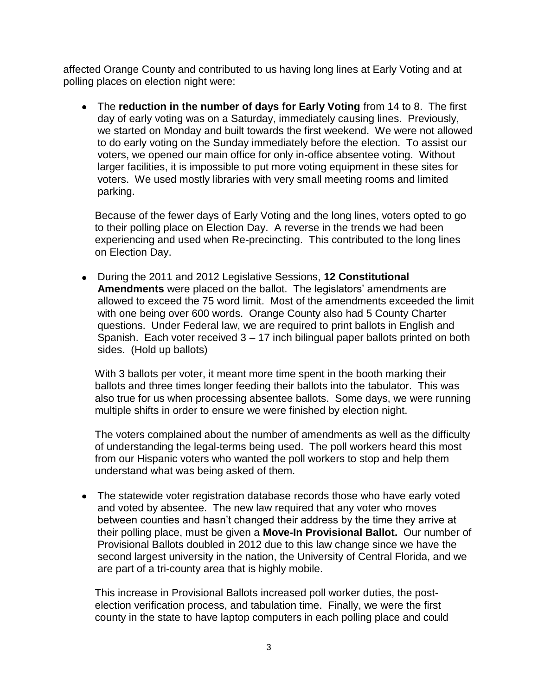affected Orange County and contributed to us having long lines at Early Voting and at polling places on election night were:

The **reduction in the number of days for Early Voting** from 14 to 8. The first day of early voting was on a Saturday, immediately causing lines. Previously, we started on Monday and built towards the first weekend. We were not allowed to do early voting on the Sunday immediately before the election. To assist our voters, we opened our main office for only in-office absentee voting. Without larger facilities, it is impossible to put more voting equipment in these sites for voters. We used mostly libraries with very small meeting rooms and limited parking.

Because of the fewer days of Early Voting and the long lines, voters opted to go to their polling place on Election Day. A reverse in the trends we had been experiencing and used when Re-precincting. This contributed to the long lines on Election Day.

During the 2011 and 2012 Legislative Sessions, **12 Constitutional Amendments** were placed on the ballot. The legislators' amendments are allowed to exceed the 75 word limit. Most of the amendments exceeded the limit with one being over 600 words. Orange County also had 5 County Charter questions. Under Federal law, we are required to print ballots in English and Spanish. Each voter received 3 – 17 inch bilingual paper ballots printed on both sides. (Hold up ballots)

With 3 ballots per voter, it meant more time spent in the booth marking their ballots and three times longer feeding their ballots into the tabulator. This was also true for us when processing absentee ballots. Some days, we were running multiple shifts in order to ensure we were finished by election night.

The voters complained about the number of amendments as well as the difficulty of understanding the legal-terms being used. The poll workers heard this most from our Hispanic voters who wanted the poll workers to stop and help them understand what was being asked of them.

• The statewide voter registration database records those who have early voted and voted by absentee. The new law required that any voter who moves between counties and hasn't changed their address by the time they arrive at their polling place, must be given a **Move-In Provisional Ballot.** Our number of Provisional Ballots doubled in 2012 due to this law change since we have the second largest university in the nation, the University of Central Florida, and we are part of a tri-county area that is highly mobile.

This increase in Provisional Ballots increased poll worker duties, the postelection verification process, and tabulation time. Finally, we were the first county in the state to have laptop computers in each polling place and could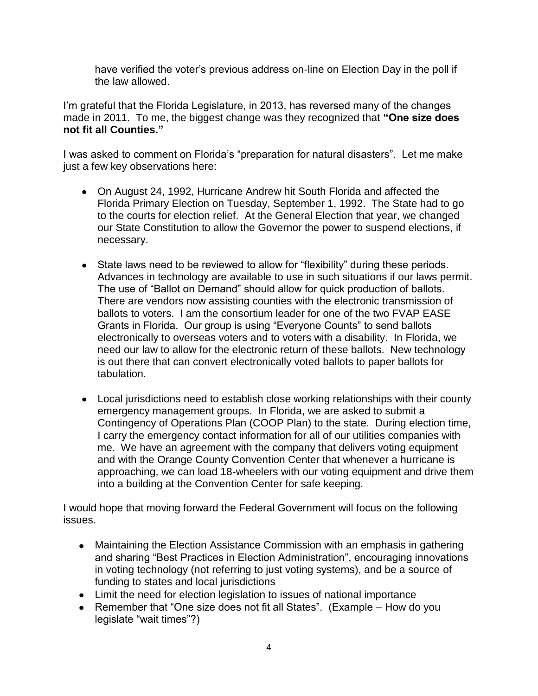have verified the voter's previous address on-line on Election Day in the poll if the law allowed.

I'm grateful that the Florida Legislature, in 2013, has reversed many of the changes made in 2011. To me, the biggest change was they recognized that **"One size does not fit all Counties."**

I was asked to comment on Florida's "preparation for natural disasters". Let me make just a few key observations here:

- On August 24, 1992, Hurricane Andrew hit South Florida and affected the  $\bullet$ Florida Primary Election on Tuesday, September 1, 1992. The State had to go to the courts for election relief. At the General Election that year, we changed our State Constitution to allow the Governor the power to suspend elections, if necessary.
- State laws need to be reviewed to allow for "flexibility" during these periods. Advances in technology are available to use in such situations if our laws permit. The use of "Ballot on Demand" should allow for quick production of ballots. There are vendors now assisting counties with the electronic transmission of ballots to voters. I am the consortium leader for one of the two FVAP EASE Grants in Florida. Our group is using "Everyone Counts" to send ballots electronically to overseas voters and to voters with a disability. In Florida, we need our law to allow for the electronic return of these ballots. New technology is out there that can convert electronically voted ballots to paper ballots for tabulation.
- Local jurisdictions need to establish close working relationships with their county emergency management groups. In Florida, we are asked to submit a Contingency of Operations Plan (COOP Plan) to the state. During election time, I carry the emergency contact information for all of our utilities companies with me. We have an agreement with the company that delivers voting equipment and with the Orange County Convention Center that whenever a hurricane is approaching, we can load 18-wheelers with our voting equipment and drive them into a building at the Convention Center for safe keeping.

I would hope that moving forward the Federal Government will focus on the following issues.

- Maintaining the Election Assistance Commission with an emphasis in gathering and sharing "Best Practices in Election Administration", encouraging innovations in voting technology (not referring to just voting systems), and be a source of funding to states and local jurisdictions
- Limit the need for election legislation to issues of national importance
- Remember that "One size does not fit all States". (Example How do you legislate "wait times"?)